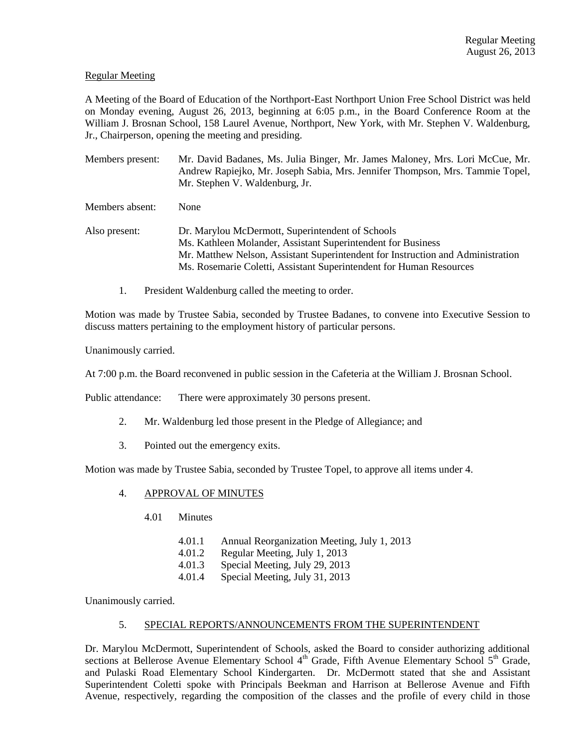# Regular Meeting

A Meeting of the Board of Education of the Northport-East Northport Union Free School District was held on Monday evening, August 26, 2013, beginning at 6:05 p.m., in the Board Conference Room at the William J. Brosnan School, 158 Laurel Avenue, Northport, New York, with Mr. Stephen V. Waldenburg, Jr., Chairperson, opening the meeting and presiding.

Members present: Mr. David Badanes, Ms. Julia Binger, Mr. James Maloney, Mrs. Lori McCue, Mr. Andrew Rapiejko, Mr. Joseph Sabia, Mrs. Jennifer Thompson, Mrs. Tammie Topel, Mr. Stephen V. Waldenburg, Jr.

Members absent: None

Also present: Dr. Marylou McDermott, Superintendent of Schools Ms. Kathleen Molander, Assistant Superintendent for Business Mr. Matthew Nelson, Assistant Superintendent for Instruction and Administration Ms. Rosemarie Coletti, Assistant Superintendent for Human Resources

1. President Waldenburg called the meeting to order.

Motion was made by Trustee Sabia, seconded by Trustee Badanes, to convene into Executive Session to discuss matters pertaining to the employment history of particular persons.

Unanimously carried.

At 7:00 p.m. the Board reconvened in public session in the Cafeteria at the William J. Brosnan School.

Public attendance: There were approximately 30 persons present.

- 2. Mr. Waldenburg led those present in the Pledge of Allegiance; and
- 3. Pointed out the emergency exits.

Motion was made by Trustee Sabia, seconded by Trustee Topel, to approve all items under 4.

- 4. APPROVAL OF MINUTES
	- 4.01 Minutes
		- 4.01.1 Annual Reorganization Meeting, July 1, 2013
		- 4.01.2 Regular Meeting, July 1, 2013
		- 4.01.3 Special Meeting, July 29, 2013
		- 4.01.4 Special Meeting, July 31, 2013

Unanimously carried.

#### 5. SPECIAL REPORTS/ANNOUNCEMENTS FROM THE SUPERINTENDENT

Dr. Marylou McDermott, Superintendent of Schools, asked the Board to consider authorizing additional sections at Bellerose Avenue Elementary School 4<sup>th</sup> Grade, Fifth Avenue Elementary School 5<sup>th</sup> Grade, and Pulaski Road Elementary School Kindergarten. Dr. McDermott stated that she and Assistant Superintendent Coletti spoke with Principals Beekman and Harrison at Bellerose Avenue and Fifth Avenue, respectively, regarding the composition of the classes and the profile of every child in those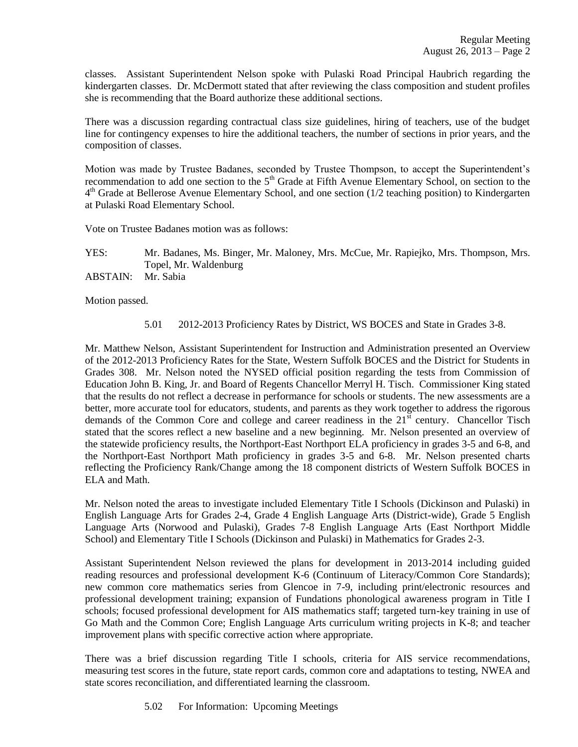classes. Assistant Superintendent Nelson spoke with Pulaski Road Principal Haubrich regarding the kindergarten classes. Dr. McDermott stated that after reviewing the class composition and student profiles she is recommending that the Board authorize these additional sections.

There was a discussion regarding contractual class size guidelines, hiring of teachers, use of the budget line for contingency expenses to hire the additional teachers, the number of sections in prior years, and the composition of classes.

Motion was made by Trustee Badanes, seconded by Trustee Thompson, to accept the Superintendent's recommendation to add one section to the  $5<sup>th</sup>$  Grade at Fifth Avenue Elementary School, on section to the 4<sup>th</sup> Grade at Bellerose Avenue Elementary School, and one section (1/2 teaching position) to Kindergarten at Pulaski Road Elementary School.

Vote on Trustee Badanes motion was as follows:

YES: Mr. Badanes, Ms. Binger, Mr. Maloney, Mrs. McCue, Mr. Rapiejko, Mrs. Thompson, Mrs. Topel, Mr. Waldenburg ABSTAIN: Mr. Sabia

Motion passed.

5.01 2012-2013 Proficiency Rates by District, WS BOCES and State in Grades 3-8.

Mr. Matthew Nelson, Assistant Superintendent for Instruction and Administration presented an Overview of the 2012-2013 Proficiency Rates for the State, Western Suffolk BOCES and the District for Students in Grades 308. Mr. Nelson noted the NYSED official position regarding the tests from Commission of Education John B. King, Jr. and Board of Regents Chancellor Merryl H. Tisch. Commissioner King stated that the results do not reflect a decrease in performance for schools or students. The new assessments are a better, more accurate tool for educators, students, and parents as they work together to address the rigorous demands of the Common Core and college and career readiness in the  $21<sup>st</sup>$  century. Chancellor Tisch stated that the scores reflect a new baseline and a new beginning. Mr. Nelson presented an overview of the statewide proficiency results, the Northport-East Northport ELA proficiency in grades 3-5 and 6-8, and the Northport-East Northport Math proficiency in grades 3-5 and 6-8. Mr. Nelson presented charts reflecting the Proficiency Rank/Change among the 18 component districts of Western Suffolk BOCES in ELA and Math.

Mr. Nelson noted the areas to investigate included Elementary Title I Schools (Dickinson and Pulaski) in English Language Arts for Grades 2-4, Grade 4 English Language Arts (District-wide), Grade 5 English Language Arts (Norwood and Pulaski), Grades 7-8 English Language Arts (East Northport Middle School) and Elementary Title I Schools (Dickinson and Pulaski) in Mathematics for Grades 2-3.

Assistant Superintendent Nelson reviewed the plans for development in 2013-2014 including guided reading resources and professional development K-6 (Continuum of Literacy/Common Core Standards); new common core mathematics series from Glencoe in 7-9, including print/electronic resources and professional development training; expansion of Fundations phonological awareness program in Title I schools; focused professional development for AIS mathematics staff; targeted turn-key training in use of Go Math and the Common Core; English Language Arts curriculum writing projects in K-8; and teacher improvement plans with specific corrective action where appropriate.

There was a brief discussion regarding Title I schools, criteria for AIS service recommendations, measuring test scores in the future, state report cards, common core and adaptations to testing, NWEA and state scores reconciliation, and differentiated learning the classroom.

5.02 For Information: Upcoming Meetings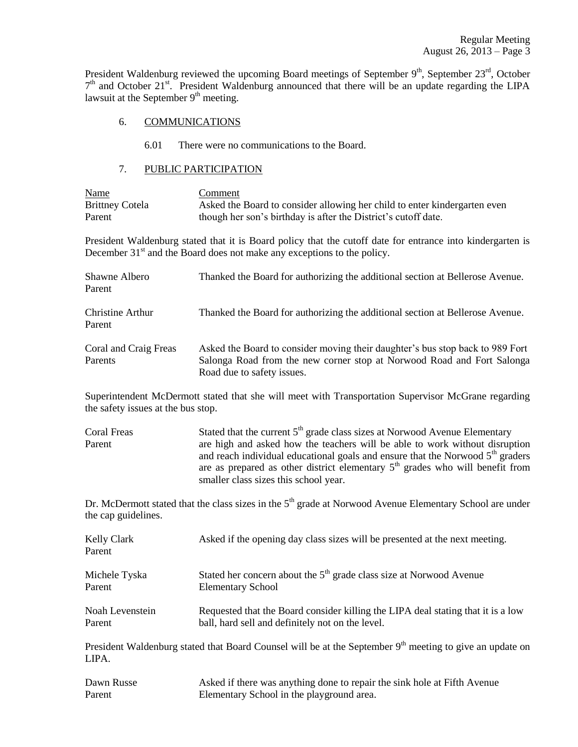President Waldenburg reviewed the upcoming Board meetings of September  $9<sup>th</sup>$ , September  $23<sup>rd</sup>$ , October 7<sup>th</sup> and October 21<sup>st</sup>. President Waldenburg announced that there will be an update regarding the LIPA lawsuit at the September  $9<sup>th</sup>$  meeting.

## 6. COMMUNICATIONS

6.01 There were no communications to the Board.

# 7. PUBLIC PARTICIPATION

| Name                   | Comment                                                                    |
|------------------------|----------------------------------------------------------------------------|
| <b>Brittney Cotela</b> | Asked the Board to consider allowing her child to enter kinder garten even |
| Parent                 | though her son's birthday is after the District's cutoff date.             |

President Waldenburg stated that it is Board policy that the cutoff date for entrance into kindergarten is December  $31<sup>st</sup>$  and the Board does not make any exceptions to the policy.

| Shawne Albero<br>Parent          | Thanked the Board for authorizing the additional section at Bellerose Avenue.                                                                                                         |
|----------------------------------|---------------------------------------------------------------------------------------------------------------------------------------------------------------------------------------|
| Christine Arthur<br>Parent       | Thanked the Board for authorizing the additional section at Bellerose Avenue.                                                                                                         |
| Coral and Craig Freas<br>Parents | Asked the Board to consider moving their daughter's bus stop back to 989 Fort<br>Salonga Road from the new corner stop at Norwood Road and Fort Salonga<br>Road due to safety issues. |

Superintendent McDermott stated that she will meet with Transportation Supervisor McGrane regarding the safety issues at the bus stop.

| Coral Freas | Stated that the current $5th$ grade class sizes at Norwood Avenue Elementary     |
|-------------|----------------------------------------------------------------------------------|
| Parent      | are high and asked how the teachers will be able to work without disruption      |
|             | and reach individual educational goals and ensure that the Norwood $5th$ graders |
|             | are as prepared as other district elementary $5th$ grades who will benefit from  |
|             | smaller class sizes this school year.                                            |

Dr. McDermott stated that the class sizes in the 5<sup>th</sup> grade at Norwood Avenue Elementary School are under the cap guidelines.

| Kelly Clark<br>Parent | Asked if the opening day class sizes will be presented at the next meeting.      |  |  |  |
|-----------------------|----------------------------------------------------------------------------------|--|--|--|
| Michele Tyska         | Stated her concern about the $5th$ grade class size at Norwood Avenue            |  |  |  |
| Parent                | <b>Elementary School</b>                                                         |  |  |  |
| Noah Levenstein       | Requested that the Board consider killing the LIPA deal stating that it is a low |  |  |  |
| Parent                | ball, hard sell and definitely not on the level.                                 |  |  |  |

President Waldenburg stated that Board Counsel will be at the September 9<sup>th</sup> meeting to give an update on LIPA.

| Dawn Russe | Asked if there was anything done to repair the sink hole at Fifth Avenue |
|------------|--------------------------------------------------------------------------|
| Parent     | Elementary School in the playground area.                                |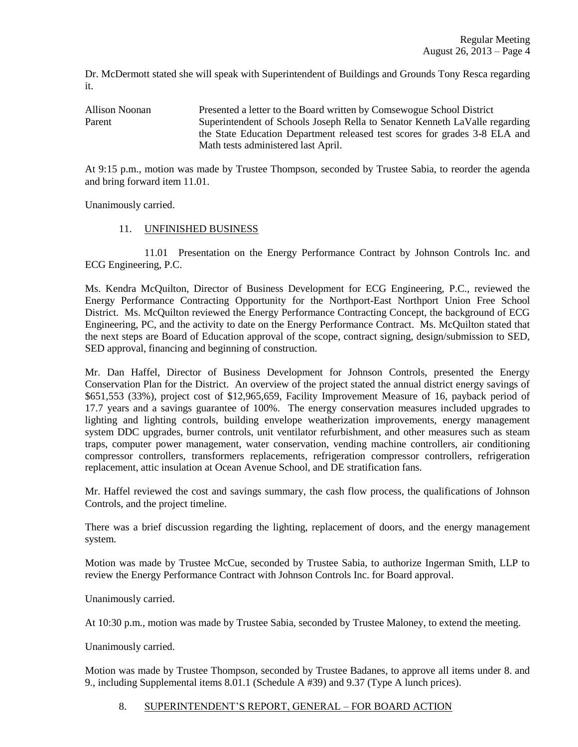Dr. McDermott stated she will speak with Superintendent of Buildings and Grounds Tony Resca regarding it.

Allison Noonan Presented a letter to the Board written by Comsewogue School District Parent Superintendent of Schools Joseph Rella to Senator Kenneth LaValle regarding the State Education Department released test scores for grades 3-8 ELA and Math tests administered last April.

At 9:15 p.m., motion was made by Trustee Thompson, seconded by Trustee Sabia, to reorder the agenda and bring forward item 11.01.

Unanimously carried.

## 11. UNFINISHED BUSINESS

11.01 Presentation on the Energy Performance Contract by Johnson Controls Inc. and ECG Engineering, P.C.

Ms. Kendra McQuilton, Director of Business Development for ECG Engineering, P.C., reviewed the Energy Performance Contracting Opportunity for the Northport-East Northport Union Free School District. Ms. McQuilton reviewed the Energy Performance Contracting Concept, the background of ECG Engineering, PC, and the activity to date on the Energy Performance Contract. Ms. McQuilton stated that the next steps are Board of Education approval of the scope, contract signing, design/submission to SED, SED approval, financing and beginning of construction.

Mr. Dan Haffel, Director of Business Development for Johnson Controls, presented the Energy Conservation Plan for the District. An overview of the project stated the annual district energy savings of \$651,553 (33%), project cost of \$12,965,659, Facility Improvement Measure of 16, payback period of 17.7 years and a savings guarantee of 100%. The energy conservation measures included upgrades to lighting and lighting controls, building envelope weatherization improvements, energy management system DDC upgrades, burner controls, unit ventilator refurbishment, and other measures such as steam traps, computer power management, water conservation, vending machine controllers, air conditioning compressor controllers, transformers replacements, refrigeration compressor controllers, refrigeration replacement, attic insulation at Ocean Avenue School, and DE stratification fans.

Mr. Haffel reviewed the cost and savings summary, the cash flow process, the qualifications of Johnson Controls, and the project timeline.

There was a brief discussion regarding the lighting, replacement of doors, and the energy management system.

Motion was made by Trustee McCue, seconded by Trustee Sabia, to authorize Ingerman Smith, LLP to review the Energy Performance Contract with Johnson Controls Inc. for Board approval.

Unanimously carried.

At 10:30 p.m., motion was made by Trustee Sabia, seconded by Trustee Maloney, to extend the meeting.

Unanimously carried.

Motion was made by Trustee Thompson, seconded by Trustee Badanes, to approve all items under 8. and 9., including Supplemental items 8.01.1 (Schedule A #39) and 9.37 (Type A lunch prices).

#### 8. SUPERINTENDENT'S REPORT, GENERAL – FOR BOARD ACTION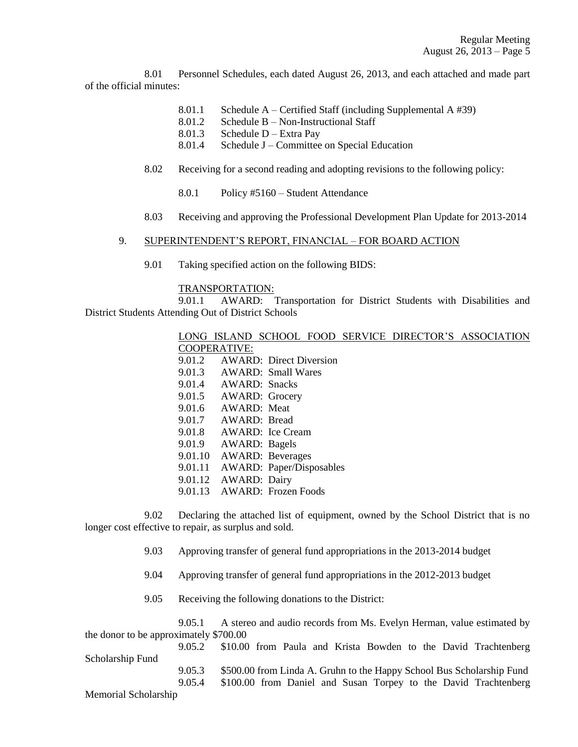8.01 Personnel Schedules, each dated August 26, 2013, and each attached and made part of the official minutes:

- 8.01.1 Schedule A Certified Staff (including Supplemental A #39)
- 8.01.2 Schedule B Non-Instructional Staff
- 8.01.3 Schedule D Extra Pay
- 8.01.4 Schedule J Committee on Special Education
- 8.02 Receiving for a second reading and adopting revisions to the following policy:
	- 8.0.1 Policy #5160 Student Attendance
- 8.03 Receiving and approving the Professional Development Plan Update for 2013-2014

## 9. SUPERINTENDENT'S REPORT, FINANCIAL – FOR BOARD ACTION

9.01 Taking specified action on the following BIDS:

## TRANSPORTATION:

9.01.1 AWARD: Transportation for District Students with Disabilities and District Students Attending Out of District Schools

| LONG-   |                      |                                 |  | ISLAND SCHOOL FOOD SERVICE DIRECTOR'S ASSOCIATION |
|---------|----------------------|---------------------------------|--|---------------------------------------------------|
|         | COOPERATIVE:         |                                 |  |                                                   |
| 9.01.2  |                      | <b>AWARD:</b> Direct Diversion  |  |                                                   |
|         |                      | 9.01.3 AWARD: Small Wares       |  |                                                   |
|         | 9.01.4 AWARD: Snacks |                                 |  |                                                   |
|         |                      | 9.01.5 AWARD: Grocery           |  |                                                   |
|         | 9.01.6 AWARD: Meat   |                                 |  |                                                   |
|         | 9.01.7 AWARD: Bread  |                                 |  |                                                   |
| 9.01.8  |                      | AWARD: Ice Cream                |  |                                                   |
|         | 9.01.9 AWARD: Bagels |                                 |  |                                                   |
| 9.01.10 |                      | <b>AWARD: Beverages</b>         |  |                                                   |
| 9.01.11 |                      | <b>AWARD:</b> Paper/Disposables |  |                                                   |
|         | 9.01.12 AWARD: Dairy |                                 |  |                                                   |
| 9.01.13 |                      | AWARD: Frozen Foods             |  |                                                   |

9.02 Declaring the attached list of equipment, owned by the School District that is no longer cost effective to repair, as surplus and sold.

- 9.03 Approving transfer of general fund appropriations in the 2013-2014 budget
- 9.04 Approving transfer of general fund appropriations in the 2012-2013 budget
- 9.05 Receiving the following donations to the District:

9.05.1 A stereo and audio records from Ms. Evelyn Herman, value estimated by the donor to be approximately \$700.00

9.05.2 \$10.00 from Paula and Krista Bowden to the David Trachtenberg Scholarship Fund 9.05.3 \$500.00 from Linda A. Gruhn to the Happy School Bus Scholarship Fund 9.05.4 \$100.00 from Daniel and Susan Torpey to the David Trachtenberg Memorial Scholarship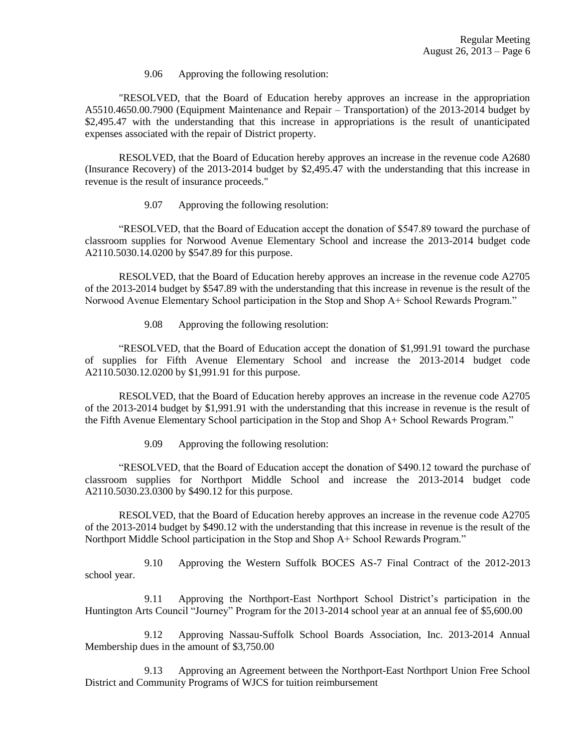9.06 Approving the following resolution:

"RESOLVED, that the Board of Education hereby approves an increase in the appropriation A5510.4650.00.7900 (Equipment Maintenance and Repair – Transportation) of the 2013-2014 budget by \$2,495.47 with the understanding that this increase in appropriations is the result of unanticipated expenses associated with the repair of District property.

RESOLVED, that the Board of Education hereby approves an increase in the revenue code A2680 (Insurance Recovery) of the 2013-2014 budget by \$2,495.47 with the understanding that this increase in revenue is the result of insurance proceeds."

9.07 Approving the following resolution:

"RESOLVED, that the Board of Education accept the donation of \$547.89 toward the purchase of classroom supplies for Norwood Avenue Elementary School and increase the 2013-2014 budget code A2110.5030.14.0200 by \$547.89 for this purpose.

RESOLVED, that the Board of Education hereby approves an increase in the revenue code A2705 of the 2013-2014 budget by \$547.89 with the understanding that this increase in revenue is the result of the Norwood Avenue Elementary School participation in the Stop and Shop A+ School Rewards Program."

9.08 Approving the following resolution:

"RESOLVED, that the Board of Education accept the donation of \$1,991.91 toward the purchase of supplies for Fifth Avenue Elementary School and increase the 2013-2014 budget code A2110.5030.12.0200 by \$1,991.91 for this purpose.

RESOLVED, that the Board of Education hereby approves an increase in the revenue code A2705 of the 2013-2014 budget by \$1,991.91 with the understanding that this increase in revenue is the result of the Fifth Avenue Elementary School participation in the Stop and Shop A+ School Rewards Program."

9.09 Approving the following resolution:

"RESOLVED, that the Board of Education accept the donation of \$490.12 toward the purchase of classroom supplies for Northport Middle School and increase the 2013-2014 budget code A2110.5030.23.0300 by \$490.12 for this purpose.

RESOLVED, that the Board of Education hereby approves an increase in the revenue code A2705 of the 2013-2014 budget by \$490.12 with the understanding that this increase in revenue is the result of the Northport Middle School participation in the Stop and Shop A+ School Rewards Program."

9.10 Approving the Western Suffolk BOCES AS-7 Final Contract of the 2012-2013 school year.

9.11 Approving the Northport-East Northport School District's participation in the Huntington Arts Council "Journey" Program for the 2013-2014 school year at an annual fee of \$5,600.00

9.12 Approving Nassau-Suffolk School Boards Association, Inc. 2013-2014 Annual Membership dues in the amount of \$3,750.00

9.13 Approving an Agreement between the Northport-East Northport Union Free School District and Community Programs of WJCS for tuition reimbursement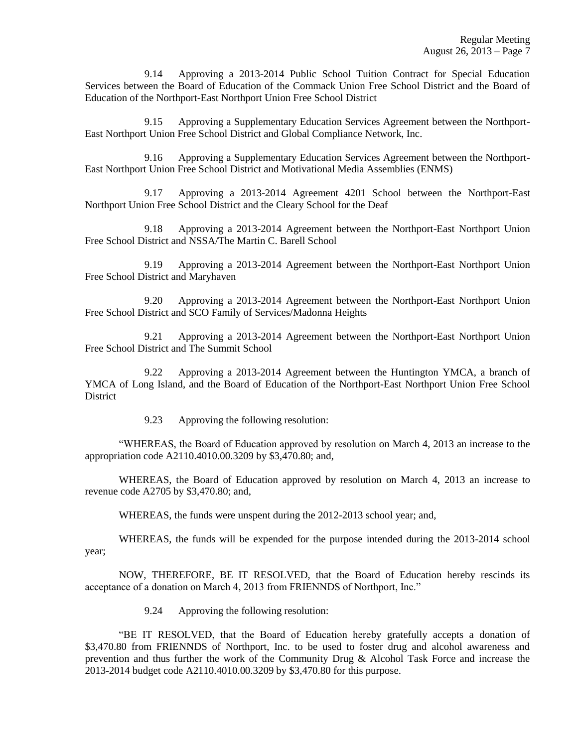9.14 Approving a 2013-2014 Public School Tuition Contract for Special Education Services between the Board of Education of the Commack Union Free School District and the Board of Education of the Northport-East Northport Union Free School District

9.15 Approving a Supplementary Education Services Agreement between the Northport-East Northport Union Free School District and Global Compliance Network, Inc.

9.16 Approving a Supplementary Education Services Agreement between the Northport-East Northport Union Free School District and Motivational Media Assemblies (ENMS)

9.17 Approving a 2013-2014 Agreement 4201 School between the Northport-East Northport Union Free School District and the Cleary School for the Deaf

9.18 Approving a 2013-2014 Agreement between the Northport-East Northport Union Free School District and NSSA/The Martin C. Barell School

9.19 Approving a 2013-2014 Agreement between the Northport-East Northport Union Free School District and Maryhaven

9.20 Approving a 2013-2014 Agreement between the Northport-East Northport Union Free School District and SCO Family of Services/Madonna Heights

9.21 Approving a 2013-2014 Agreement between the Northport-East Northport Union Free School District and The Summit School

9.22 Approving a 2013-2014 Agreement between the Huntington YMCA, a branch of YMCA of Long Island, and the Board of Education of the Northport-East Northport Union Free School **District** 

9.23 Approving the following resolution:

"WHEREAS, the Board of Education approved by resolution on March 4, 2013 an increase to the appropriation code A2110.4010.00.3209 by \$3,470.80; and,

WHEREAS, the Board of Education approved by resolution on March 4, 2013 an increase to revenue code A2705 by \$3,470.80; and,

WHEREAS, the funds were unspent during the 2012-2013 school year; and,

WHEREAS, the funds will be expended for the purpose intended during the 2013-2014 school year;

NOW, THEREFORE, BE IT RESOLVED, that the Board of Education hereby rescinds its acceptance of a donation on March 4, 2013 from FRIENNDS of Northport, Inc."

9.24 Approving the following resolution:

"BE IT RESOLVED, that the Board of Education hereby gratefully accepts a donation of \$3,470.80 from FRIENNDS of Northport, Inc. to be used to foster drug and alcohol awareness and prevention and thus further the work of the Community Drug & Alcohol Task Force and increase the 2013-2014 budget code A2110.4010.00.3209 by \$3,470.80 for this purpose.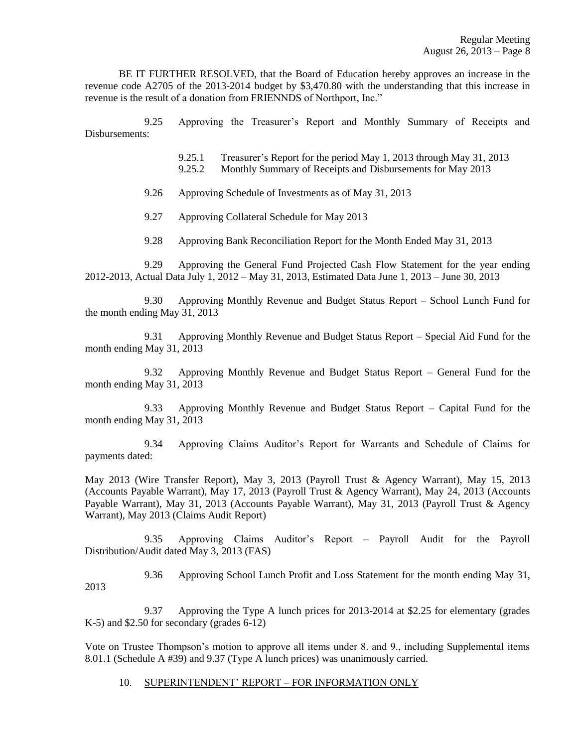BE IT FURTHER RESOLVED, that the Board of Education hereby approves an increase in the revenue code A2705 of the 2013-2014 budget by \$3,470.80 with the understanding that this increase in revenue is the result of a donation from FRIENNDS of Northport, Inc."

9.25 Approving the Treasurer's Report and Monthly Summary of Receipts and Disbursements:

9.25.1 Treasurer's Report for the period May 1, 2013 through May 31, 2013

9.25.2 Monthly Summary of Receipts and Disbursements for May 2013

9.26 Approving Schedule of Investments as of May 31, 2013

9.27 Approving Collateral Schedule for May 2013

9.28 Approving Bank Reconciliation Report for the Month Ended May 31, 2013

9.29 Approving the General Fund Projected Cash Flow Statement for the year ending 2012-2013, Actual Data July 1, 2012 – May 31, 2013, Estimated Data June 1, 2013 – June 30, 2013

9.30 Approving Monthly Revenue and Budget Status Report – School Lunch Fund for the month ending May 31, 2013

9.31 Approving Monthly Revenue and Budget Status Report – Special Aid Fund for the month ending May 31, 2013

9.32 Approving Monthly Revenue and Budget Status Report – General Fund for the month ending May 31, 2013

9.33 Approving Monthly Revenue and Budget Status Report – Capital Fund for the month ending May 31, 2013

9.34 Approving Claims Auditor's Report for Warrants and Schedule of Claims for payments dated:

May 2013 (Wire Transfer Report), May 3, 2013 (Payroll Trust & Agency Warrant), May 15, 2013 (Accounts Payable Warrant), May 17, 2013 (Payroll Trust & Agency Warrant), May 24, 2013 (Accounts Payable Warrant), May 31, 2013 (Accounts Payable Warrant), May 31, 2013 (Payroll Trust & Agency Warrant), May 2013 (Claims Audit Report)

9.35 Approving Claims Auditor's Report – Payroll Audit for the Payroll Distribution/Audit dated May 3, 2013 (FAS)

9.36 Approving School Lunch Profit and Loss Statement for the month ending May 31, 2013

9.37 Approving the Type A lunch prices for 2013-2014 at \$2.25 for elementary (grades K-5) and \$2.50 for secondary (grades 6-12)

Vote on Trustee Thompson's motion to approve all items under 8. and 9., including Supplemental items 8.01.1 (Schedule A #39) and 9.37 (Type A lunch prices) was unanimously carried.

#### 10. SUPERINTENDENT' REPORT – FOR INFORMATION ONLY